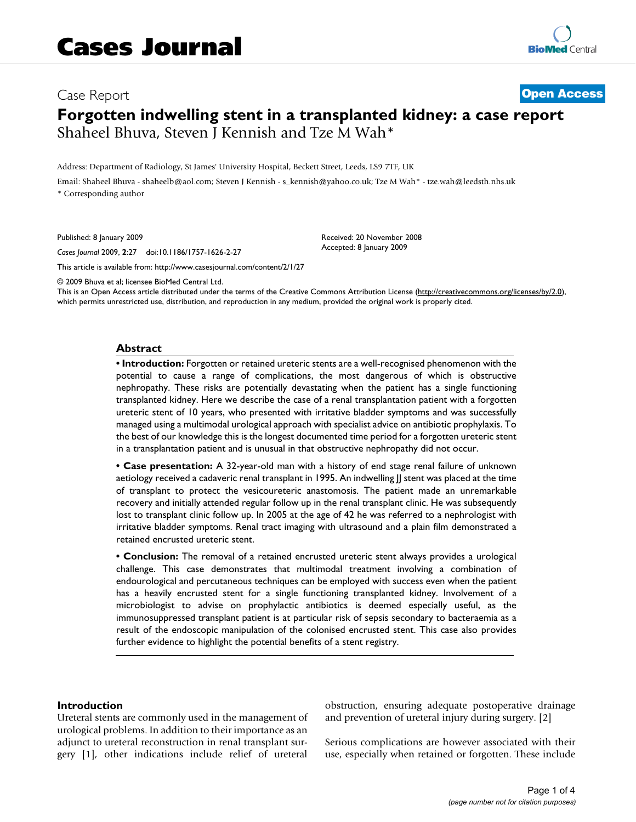# Case Report **[Open Access](http://www.biomedcentral.com/info/about/charter/) Forgotten indwelling stent in a transplanted kidney: a case report** Shaheel Bhuva, Steven J Kennish and Tze M Wah\*

Address: Department of Radiology, St James' University Hospital, Beckett Street, Leeds, LS9 7TF, UK

Email: Shaheel Bhuva - shaheelb@aol.com; Steven J Kennish - s\_kennish@yahoo.co.uk; Tze M Wah\* - tze.wah@leedsth.nhs.uk \* Corresponding author

Published: 8 January 2009

*Cases Journal* 2009, **2**:27 doi:10.1186/1757-1626-2-27

[This article is available from: http://www.casesjournal.com/content/2/1/27](http://www.casesjournal.com/content/2/1/27)

© 2009 Bhuva et al; licensee BioMed Central Ltd.

This is an Open Access article distributed under the terms of the Creative Commons Attribution License [\(http://creativecommons.org/licenses/by/2.0\)](http://creativecommons.org/licenses/by/2.0), which permits unrestricted use, distribution, and reproduction in any medium, provided the original work is properly cited.

Received: 20 November 2008 Accepted: 8 January 2009

#### **Abstract**

**• Introduction:** Forgotten or retained ureteric stents are a well-recognised phenomenon with the potential to cause a range of complications, the most dangerous of which is obstructive nephropathy. These risks are potentially devastating when the patient has a single functioning transplanted kidney. Here we describe the case of a renal transplantation patient with a forgotten ureteric stent of 10 years, who presented with irritative bladder symptoms and was successfully managed using a multimodal urological approach with specialist advice on antibiotic prophylaxis. To the best of our knowledge this is the longest documented time period for a forgotten ureteric stent in a transplantation patient and is unusual in that obstructive nephropathy did not occur.

**• Case presentation:** A 32-year-old man with a history of end stage renal failure of unknown aetiology received a cadaveric renal transplant in 1995. An indwelling JJ stent was placed at the time of transplant to protect the vesicoureteric anastomosis. The patient made an unremarkable recovery and initially attended regular follow up in the renal transplant clinic. He was subsequently lost to transplant clinic follow up. In 2005 at the age of 42 he was referred to a nephrologist with irritative bladder symptoms. Renal tract imaging with ultrasound and a plain film demonstrated a retained encrusted ureteric stent.

**• Conclusion:** The removal of a retained encrusted ureteric stent always provides a urological challenge. This case demonstrates that multimodal treatment involving a combination of endourological and percutaneous techniques can be employed with success even when the patient has a heavily encrusted stent for a single functioning transplanted kidney. Involvement of a microbiologist to advise on prophylactic antibiotics is deemed especially useful, as the immunosuppressed transplant patient is at particular risk of sepsis secondary to bacteraemia as a result of the endoscopic manipulation of the colonised encrusted stent. This case also provides further evidence to highlight the potential benefits of a stent registry.

#### **Introduction**

Ureteral stents are commonly used in the management of urological problems. In addition to their importance as an adjunct to ureteral reconstruction in renal transplant surgery [1], other indications include relief of ureteral

obstruction, ensuring adequate postoperative drainage and prevention of ureteral injury during surgery. [2]

Serious complications are however associated with their use, especially when retained or forgotten. These include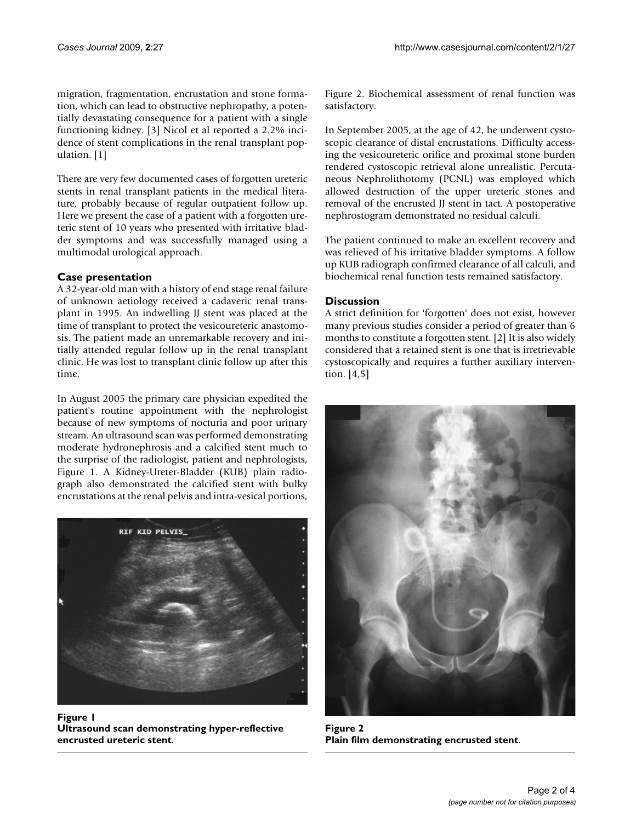migration, fragmentation, encrustation and stone formation, which can lead to obstructive nephropathy, a potentially devastating consequence for a patient with a single functioning kidney. [3] Nicol et al reported a 2.2% incidence of stent complications in the renal transplant population. [1]

There are very few documented cases of forgotten ureteric stents in renal transplant patients in the medical literature, probably because of regular outpatient follow up. Here we present the case of a patient with a forgotten ureteric stent of 10 years who presented with irritative bladder symptoms and was successfully managed using a multimodal urological approach.

# **Case presentation**

A 32-year-old man with a history of end stage renal failure of unknown aetiology received a cadaveric renal transplant in 1995. An indwelling JJ stent was placed at the time of transplant to protect the vesicoureteric anastomosis. The patient made an unremarkable recovery and initially attended regular follow up in the renal transplant clinic. He was lost to transplant clinic follow up after this time.

In August 2005 the primary care physician expedited the patient's routine appointment with the nephrologist because of new symptoms of nocturia and poor urinary stream. An ultrasound scan was performed demonstrating moderate hydronephrosis and a calcified stent much to the surprise of the radiologist, patient and nephrologists, Figure 1. A Kidney-Ureter-Bladder (KUB) plain radiograph also demonstrated the calcified stent with bulky encrustations at the renal pelvis and intra-vesical portions,



Figure 1 **Ultrasound scan demonstrating hyper-reflective encrusted ureteric stent**.

Figure 2. Biochemical assessment of renal function was satisfactory.

In September 2005, at the age of 42, he underwent cystoscopic clearance of distal encrustations. Difficulty accessing the vesicoureteric orifice and proximal stone burden rendered cystoscopic retrieval alone unrealistic. Percutaneous Nephrolithotomy (PCNL) was employed which allowed destruction of the upper ureteric stones and removal of the encrusted JJ stent in tact. A postoperative nephrostogram demonstrated no residual calculi.

The patient continued to make an excellent recovery and was relieved of his irritative bladder symptoms. A follow up KUB radiograph confirmed clearance of all calculi, and biochemical renal function tests remained satisfactory.

## **Discussion**

A strict definition for 'forgotten' does not exist, however many previous studies consider a period of greater than 6 months to constitute a forgotten stent. [2] It is also widely considered that a retained stent is one that is irretrievable cystoscopically and requires a further auxiliary intervention. [4,5]



**Figure 2 Plain film demonstrating encrusted stent**.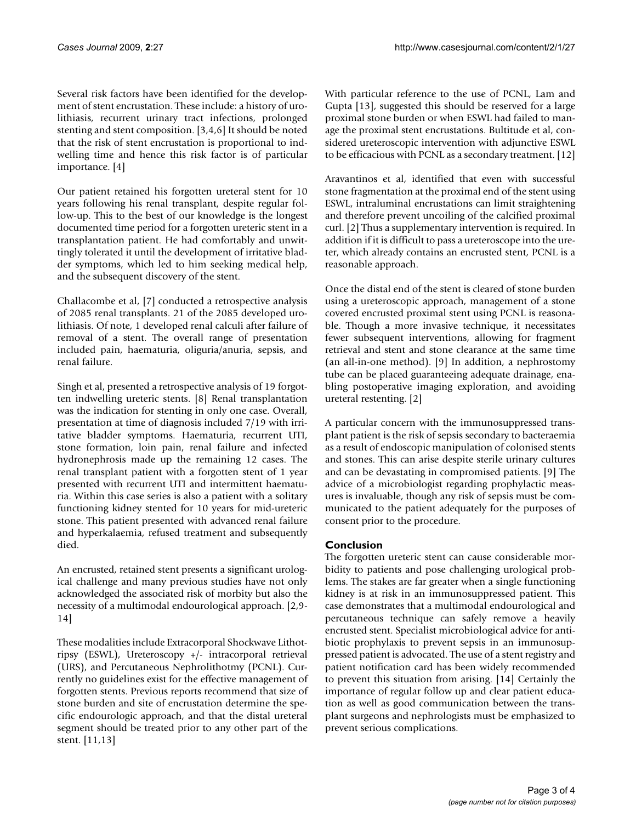Several risk factors have been identified for the development of stent encrustation. These include: a history of urolithiasis, recurrent urinary tract infections, prolonged stenting and stent composition. [3,4,6] It should be noted that the risk of stent encrustation is proportional to indwelling time and hence this risk factor is of particular importance. [4]

Our patient retained his forgotten ureteral stent for 10 years following his renal transplant, despite regular follow-up. This to the best of our knowledge is the longest documented time period for a forgotten ureteric stent in a transplantation patient. He had comfortably and unwittingly tolerated it until the development of irritative bladder symptoms, which led to him seeking medical help, and the subsequent discovery of the stent.

Challacombe et al, [7] conducted a retrospective analysis of 2085 renal transplants. 21 of the 2085 developed urolithiasis. Of note, 1 developed renal calculi after failure of removal of a stent. The overall range of presentation included pain, haematuria, oliguria/anuria, sepsis, and renal failure.

Singh et al, presented a retrospective analysis of 19 forgotten indwelling ureteric stents. [8] Renal transplantation was the indication for stenting in only one case. Overall, presentation at time of diagnosis included 7/19 with irritative bladder symptoms. Haematuria, recurrent UTI, stone formation, loin pain, renal failure and infected hydronephrosis made up the remaining 12 cases. The renal transplant patient with a forgotten stent of 1 year presented with recurrent UTI and intermittent haematuria. Within this case series is also a patient with a solitary functioning kidney stented for 10 years for mid-ureteric stone. This patient presented with advanced renal failure and hyperkalaemia, refused treatment and subsequently died.

An encrusted, retained stent presents a significant urological challenge and many previous studies have not only acknowledged the associated risk of morbity but also the necessity of a multimodal endourological approach. [2,9- 14]

These modalities include Extracorporal Shockwave Lithotripsy (ESWL), Ureteroscopy +/- intracorporal retrieval (URS), and Percutaneous Nephrolithotmy (PCNL). Currently no guidelines exist for the effective management of forgotten stents. Previous reports recommend that size of stone burden and site of encrustation determine the specific endourologic approach, and that the distal ureteral segment should be treated prior to any other part of the stent. [11,13]

With particular reference to the use of PCNL, Lam and Gupta [13], suggested this should be reserved for a large proximal stone burden or when ESWL had failed to manage the proximal stent encrustations. Bultitude et al, considered ureteroscopic intervention with adjunctive ESWL to be efficacious with PCNL as a secondary treatment. [12]

Aravantinos et al, identified that even with successful stone fragmentation at the proximal end of the stent using ESWL, intraluminal encrustations can limit straightening and therefore prevent uncoiling of the calcified proximal curl. [2] Thus a supplementary intervention is required. In addition if it is difficult to pass a ureteroscope into the ureter, which already contains an encrusted stent, PCNL is a reasonable approach.

Once the distal end of the stent is cleared of stone burden using a ureteroscopic approach, management of a stone covered encrusted proximal stent using PCNL is reasonable. Though a more invasive technique, it necessitates fewer subsequent interventions, allowing for fragment retrieval and stent and stone clearance at the same time (an all-in-one method). [9] In addition, a nephrostomy tube can be placed guaranteeing adequate drainage, enabling postoperative imaging exploration, and avoiding ureteral restenting. [2]

A particular concern with the immunosuppressed transplant patient is the risk of sepsis secondary to bacteraemia as a result of endoscopic manipulation of colonised stents and stones. This can arise despite sterile urinary cultures and can be devastating in compromised patients. [9] The advice of a microbiologist regarding prophylactic measures is invaluable, though any risk of sepsis must be communicated to the patient adequately for the purposes of consent prior to the procedure.

# **Conclusion**

The forgotten ureteric stent can cause considerable morbidity to patients and pose challenging urological problems. The stakes are far greater when a single functioning kidney is at risk in an immunosuppressed patient. This case demonstrates that a multimodal endourological and percutaneous technique can safely remove a heavily encrusted stent. Specialist microbiological advice for antibiotic prophylaxis to prevent sepsis in an immunosuppressed patient is advocated. The use of a stent registry and patient notification card has been widely recommended to prevent this situation from arising. [14] Certainly the importance of regular follow up and clear patient education as well as good communication between the transplant surgeons and nephrologists must be emphasized to prevent serious complications.